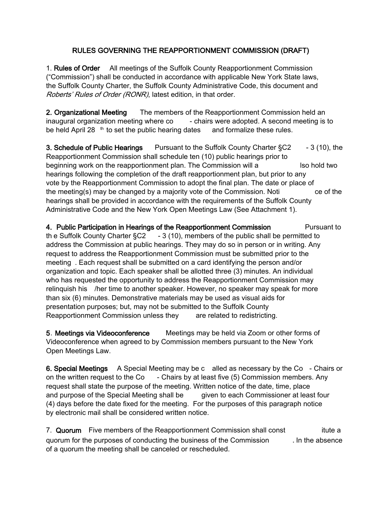## RULES GOVERNING THE REAPPORTIONMENT COMMISSION (DRAFT)

1. Rules of Order All meetings of the Suffolk County Reapportionment Commission ("Commission") shall be conducted in accordance with applicable New York State laws, the Suffolk County Charter, the Suffolk County Administrative Code, this document and Roberts' Rules of Order (RONR), latest edition, in that order.

2. Organizational Meeting The members of the Reapportionment Commission held an inaugural organization meeting where co - chairs were adopted. A second meeting is to be held April 28  $<sup>th</sup>$  to set the public hearing dates and formalize these rules.</sup>

3. Schedule of Public Hearings Pursuant to the Suffolk County Charter §C2 - 3 (10), the Reapportionment Commission shall schedule ten (10) public hearings prior to beginning work on the reapportionment plan. The Commission will a lso hold two hearings following the completion of the draft reapportionment plan, but prior to any vote by the Reapportionment Commission to adopt the final plan. The date or place of the meeting(s) may be changed by a majority vote of the Commission. Noti ce of the hearings shall be provided in accordance with the requirements of the Suffolk County Administrative Code and the New York Open Meetings Law (See Attachment 1).

4. Public Participation in Hearings of the Reapportionment Commission Pursuant to th e Suffolk County Charter  $\S C2 - 3$  (10), members of the public shall be permitted to address the Commission at public hearings. They may do so in person or in writing. Any request to address the Reapportionment Commission must be submitted prior to the meeting . Each request shall be submitted on a card identifying the person and/or organization and topic. Each speaker shall be allotted three (3) minutes. An individual who has requested the opportunity to address the Reapportionment Commission may relinquish his /her time to another speaker. However, no speaker may speak for more than six (6) minutes. Demonstrative materials may be used as visual aids for presentation purposes; but, may not be submitted to the Suffolk County Reapportionment Commission unless they are related to redistricting.

5. Meetings via Videoconference Meetings may be held via Zoom or other forms of Videoconference when agreed to by Commission members pursuant to the New York Open Meetings Law.

6. Special Meetings A Special Meeting may be c alled as necessary by the Co - Chairs or on the written request to the  $Co - Chairs$  by at least five (5) Commission members. Any request shall state the purpose of the meeting. Written notice of the date, time, place and purpose of the Special Meeting shall be given to each Commissioner at least four (4) days before the date fixed for the meeting. For the purposes of this paragraph notice by electronic mail shall be considered written notice.

7. Quorum Five members of the Reapportionment Commission shall const itute a quorum for the purposes of conducting the business of the Commission . In the absence of a quorum the meeting shall be canceled or rescheduled.